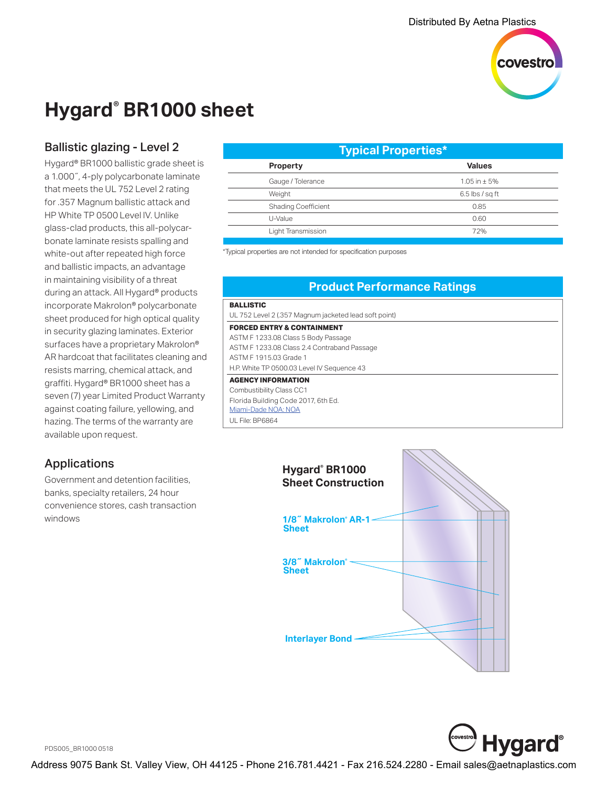

## **Hygard® BR1000 sheet**

## Ballistic glazing - Level 2

Hygard® BR1000 ballistic grade sheet is a 1.000˝, 4-ply polycarbonate laminate that meets the UL 752 Level 2 rating for .357 Magnum ballistic attack and HP White TP 0500 Level lV. Unlike glass-clad products, this all-polycarbonate laminate resists spalling and white-out after repeated high force and ballistic impacts, an advantage in maintaining visibility of a threat during an attack. All Hygard® products incorporate Makrolon® polycarbonate sheet produced for high optical quality in security glazing laminates. Exterior surfaces have a proprietary Makrolon® AR hardcoat that facilitates cleaning and resists marring, chemical attack, and graffiti. Hygard® BR1000 sheet has a seven (7) year Limited Product Warranty against coating failure, yellowing, and hazing. The terms of the warranty are available upon request.

## Applications

Government and detention facilities, banks, specialty retailers, 24 hour convenience stores, cash transaction windows

| <b>Typical Properties*</b>              |  |
|-----------------------------------------|--|
| <b>Values</b><br><b>Property</b>        |  |
| Gauge / Tolerance<br>$1.05$ in $\pm$ 5% |  |
| Weight<br>$6.5$ lbs / sq ft             |  |
| <b>Shading Coefficient</b><br>0.85      |  |
| U-Value<br>0.60                         |  |
| Light Transmission<br>72%               |  |

\*Typical properties are not intended for specification purposes

## **Product Performance Ratings**

#### **BALLISTIC** UL 752 Level 2 (.357 Magnum jacketed lead soft point) **FORCED ENTRY & CONTAINMENT** ASTM F 1233.08 Class 5 Body Passage ASTM F 1233.08 Class 2.4 Contraband Passage ASTM F 1915.03 Grade 1 H.P. White TP 0500.03 Level IV Sequence 43 **AGENCY INFORMATION** Combustibility Class CC1 Florida Building Code 2017, 6th Ed. [Miami-Dade NOA: NOA](http://www.miamidade.gov/building/pc-result_app.asp?fldNOA=&Classification=0%2CUnknown+%2F+Unselected%2C1&AdvancedSearch=Go&applicantlist=101475&categorylist=0&subcategorylist=0&materiallist=0&impactlist=0&fldMDPP=0.00&fldMDPN=0.00) UL File: BP6864





PDS005\_BR1000 0518